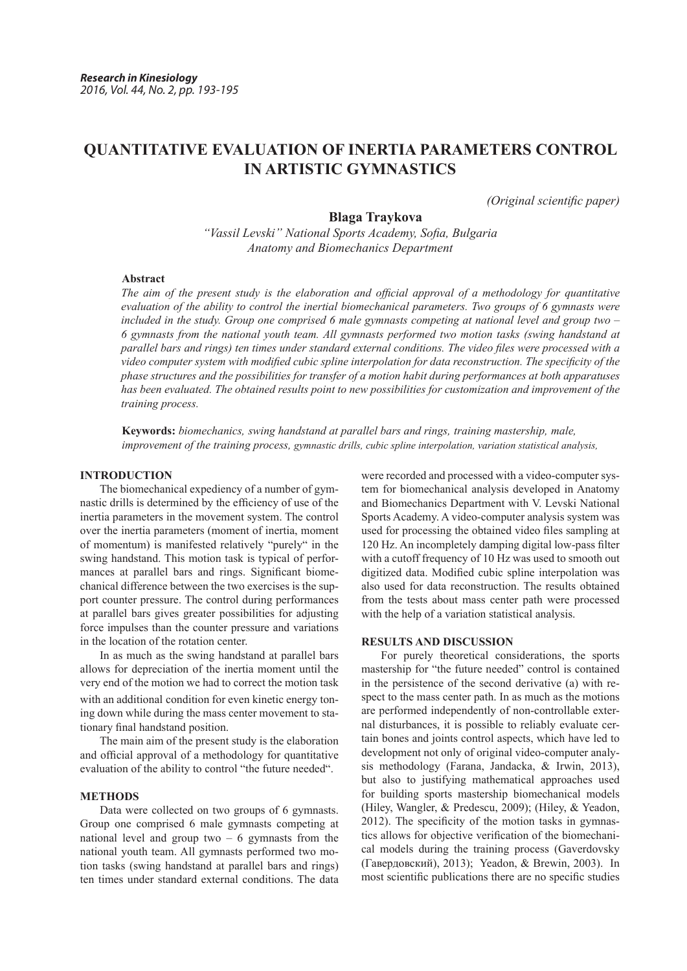# **QUANTITATIVE EVALUATION OF INERTIA PARAMETERS CONTROL IN ARTISTIC GYMNASTICS**

*(Original scientific paper)*

# **Blaga Traykova**

*"Vassil Levski" National Sports Academy, Sofia, Bulgaria Anatomy and Biomechanics Department* 

## **Abstract**

*The aim of the present study is the elaboration and official approval of a methodology for quantitative evaluation of the ability to control the inertial biomechanical parameters. Two groups of 6 gymnasts were included in the study. Group one comprised 6 male gymnasts competing at national level and group two – 6 gymnasts from the national youth team. All gymnasts performed two motion tasks (swing handstand at parallel bars and rings) ten times under standard external conditions. The video files were processed with a video computer system with modified cubic spline interpolation for data reconstruction. The specificity of the phase structures and the possibilities for transfer of a motion habit during performances at both apparatuses has been evaluated. The obtained results point to new possibilities for customization and improvement of the training process.*

**Keywords:** *biomechanics, swing handstand at parallel bars and rings, training mastership, male, improvement of the training process, gymnastic drills, cubic spline interpolation, variation statistical analysis,*

# **INTRODUCTION**

The biomechanical expediency of a number of gymnastic drills is determined by the efficiency of use of the inertia parameters in the movement system. The control over the inertia parameters (moment of inertia, moment of momentum) is manifested relatively "purely" in the swing handstand. This motion task is typical of performances at parallel bars and rings. Significant biomechanical difference between the two exercises is the support counter pressure. The control during performances at parallel bars gives greater possibilities for adjusting force impulses than the counter pressure and variations in the location of the rotation center.

In as much as the swing handstand at parallel bars allows for depreciation of the inertia moment until the very end of the motion we had to correct the motion task with an additional condition for even kinetic energy toning down while during the mass center movement to stationary final handstand position.

The main aim of the present study is the elaboration and official approval of a methodology for quantitative evaluation of the ability to control "the future needed".

#### **METHODS**

Data were collected on two groups of 6 gymnasts. Group one comprised 6 male gymnasts competing at national level and group two  $-6$  gymnasts from the national youth team. All gymnasts performed two motion tasks (swing handstand at parallel bars and rings) ten times under standard external conditions. The data

were recorded and processed with a video-computer system for biomechanical analysis developed in Anatomy and Biomechanics Department with V. Levski National Sports Academy. A video-computer analysis system was used for processing the obtained video files sampling at 120 Hz. An incompletely damping digital low-pass filter with a cutoff frequency of 10 Hz was used to smooth out digitized data. Modified cubic spline interpolation was also used for data reconstruction. The results obtained from the tests about mass center path were processed with the help of a variation statistical analysis.

#### **RESULTS AND DISCUSSION**

For purely theoretical considerations, the sports mastership for "the future needed" control is contained in the persistence of the second derivative (а) with respect to the mass center path. In as much as the motions are performed independently of non-controllable external disturbances, it is possible to reliably evaluate certain bones and joints control aspects, which have led to development not only of original video-computer analysis methodology (Farana, Jandacka, & Irwin, 2013), but also to justifying mathematical approaches used for building sports mastership biomechanical models (Hiley, Wangler, & Predescu, 2009); (Hiley, & Yeadon, 2012). The specificity of the motion tasks in gymnastics allows for objective verification of the biomechanical models during the training process (Gaverdovsky (Гавердовский), 2013); Yeadon, & Brewin, 2003). In most scientific publications there are no specific studies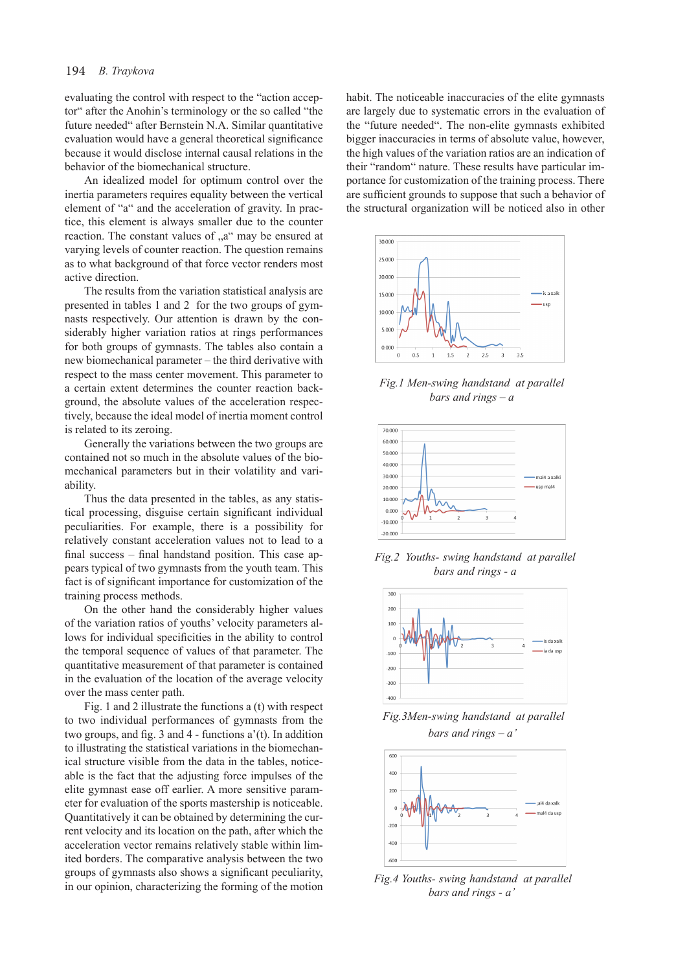evaluating the control with respect to the "action acceptor" after the Anohin's terminology or the so called "the future needed" after Bernstein N.А. Similar quantitative evaluation would have a general theoretical significance because it would disclose internal causal relations in the behavior of the biomechanical structure.

An idealized model for optimum control over the inertia parameters requires equality between the vertical element of "а" and the acceleration of gravity. In practice, this element is always smaller due to the counter reaction. The constant values of "a" may be ensured at varying levels of counter reaction. The question remains as to what background of that force vector renders most active direction.

The results from the variation statistical analysis are presented in tables 1 and 2 for the two groups of gymnasts respectively. Our attention is drawn by the considerably higher variation ratios at rings performances for both groups of gymnasts. The tables also contain a new biomechanical parameter – the third derivative with respect to the mass center movement. This parameter to a certain extent determines the counter reaction background, the absolute values of the acceleration respectively, because the ideal model of inertia moment control is related to its zeroing.

Generally the variations between the two groups are contained not so much in the absolute values of the biomechanical parameters but in their volatility and variability.

Thus the data presented in the tables, as any statistical processing, disguise certain significant individual peculiarities. For example, there is a possibility for relatively constant acceleration values not to lead to a final success – final handstand position. This case appears typical of two gymnasts from the youth team. This fact is of significant importance for customization of the training process methods.

On the other hand the considerably higher values of the variation ratios of youths' velocity parameters allows for individual specificities in the ability to control the temporal sequence of values of that parameter. The quantitative measurement of that parameter is contained in the evaluation of the location of the average velocity over the mass center path.

Fig. 1 and 2 illustrate the functions а (t) with respect to two individual performances of gymnasts from the two groups, and fig. 3 and 4 - functions  $a'(t)$ . In addition to illustrating the statistical variations in the biomechanical structure visible from the data in the tables, noticeable is the fact that the adjusting force impulses of the elite gymnast ease off earlier. A more sensitive parameter for evaluation of the sports mastership is noticeable. Quantitatively it can be obtained by determining the current velocity and its location on the path, after which the acceleration vector remains relatively stable within limited borders. The comparative analysis between the two groups of gymnasts also shows a significant peculiarity, in our opinion, characterizing the forming of the motion habit. The noticeable inaccuracies of the elite gymnasts are largely due to systematic errors in the evaluation of the "future needed". The non-elite gymnasts exhibited bigger inaccuracies in terms of absolute value, however, the high values of the variation ratios are an indication of their "random" nature. These results have particular importance for customization of the training process. There are sufficient grounds to suppose that such a behavior of the structural organization will be noticed also in other



*Fig.1 Men-swing handstand at parallel bars and rings – а* 



*Fig.2 Youths- swing handstand at parallel bars and rings - а*



*Fig.3Men-swing handstand at parallel bars and rings – а'* 



*Fig.4 Youths- swing handstand at parallel bars and rings - а'*